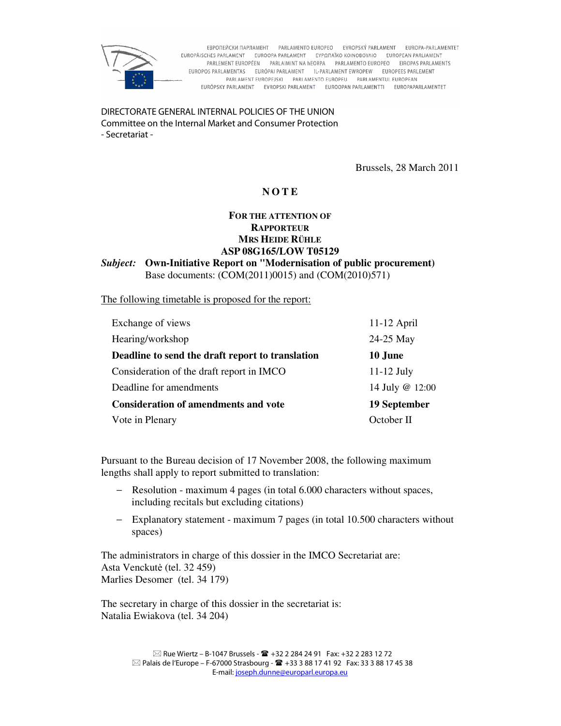

EBPOΠΕЙСКИ ПАРЛАМЕНТ РАRLAMENTO EUROPEO EVROPSKÝ PARLAMENT EUROPA-PARLAMENTET EUROPÄISCHES PARLAMENT EUROOPA PARLAMENT EYPOTAÏKO KOINOBOYAIO EUROPEAN PARLIAMENT PARLEMENT EUROPÉEN PARLAIMINT NA HEORPA PARLAMENTO EUROPEO EIROPAS PARLAMENTS EUROPOS PARLAMENTAS EURÓPAI PARLAMENT IL-PARLAMENT EWROPEW EUROPEES PARLEMENT PARLAMENT EUROPEJSKI PARLAMENTO EUROPEU PARLAMENTUL EUROPEAN EURÓPSKY PARLAMENT EVROPSKI PARLAMENT EUROOPAN PARLAMENTTI EUROPAPARLAMENTET

DIRECTORATE GENERAL INTERNAL POLICIES OF THE UNION Committee on the Internal Market and Consumer Protection - Secretariat -

Brussels, 28 March 2011

# **N O T E**

## **FOR THE ATTENTION OF RAPPORTEUR MRS HEIDE RÜHLE ASP 08G165/LOW T05129**

*Subject:* **Own-Initiative Report on "Modernisation of public procurement)**  Base documents: (COM(2011)0015) and (COM(2010)571)

The following timetable is proposed for the report:

| Exchange of views                                | $11-12$ April   |
|--------------------------------------------------|-----------------|
| Hearing/workshop                                 | 24-25 May       |
| Deadline to send the draft report to translation | 10 June         |
| Consideration of the draft report in IMCO        | $11-12$ July    |
| Deadline for amendments                          | 14 July @ 12:00 |
| <b>Consideration of amendments and vote</b>      | 19 September    |
| Vote in Plenary                                  | October II      |

Pursuant to the Bureau decision of 17 November 2008, the following maximum lengths shall apply to report submitted to translation:

- − Resolution maximum 4 pages (in total 6.000 characters without spaces, including recitals but excluding citations)
- − Explanatory statement maximum 7 pages (in total 10.500 characters without spaces)

The administrators in charge of this dossier in the IMCO Secretariat are: Asta Venckutė (tel. 32 459) Marlies Desomer (tel. 34 179)

The secretary in charge of this dossier in the secretariat is: Natalia Ewiakova (tel. 34 204)